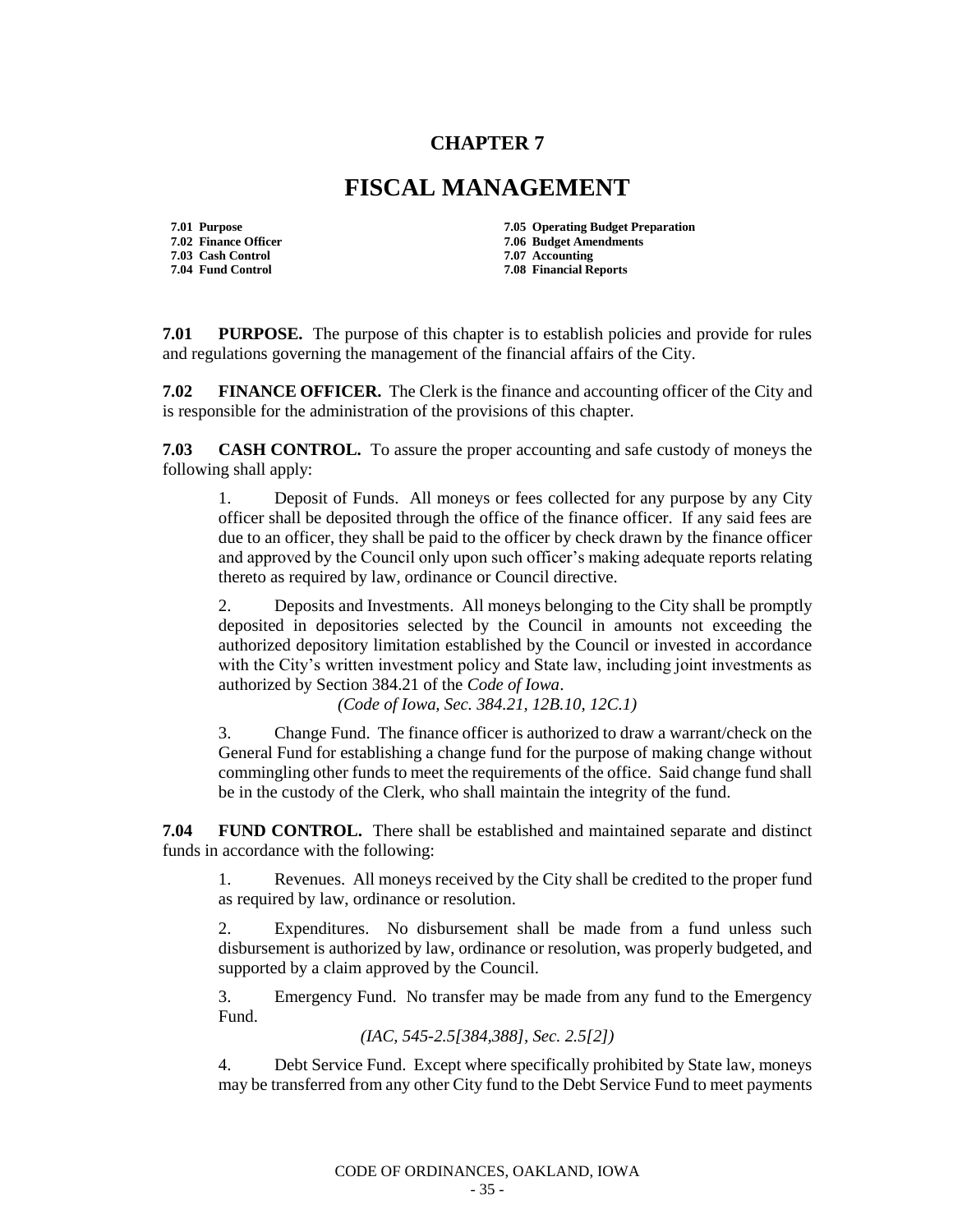## **CHAPTER 7**

## **FISCAL MANAGEMENT**

- **7.03 Cash Control**
- **7.01 Purpose 7.05 Operating Budget Preparation 7.02 Finance Officer 7.06 Budget Amendments 7.04 Fund Control 7.08 Financial Reports**

**7.01 PURPOSE.** The purpose of this chapter is to establish policies and provide for rules and regulations governing the management of the financial affairs of the City.

**7.02 FINANCE OFFICER.** The Clerk is the finance and accounting officer of the City and is responsible for the administration of the provisions of this chapter.

**7.03 CASH CONTROL.** To assure the proper accounting and safe custody of moneys the following shall apply:

1. Deposit of Funds. All moneys or fees collected for any purpose by any City officer shall be deposited through the office of the finance officer. If any said fees are due to an officer, they shall be paid to the officer by check drawn by the finance officer and approved by the Council only upon such officer's making adequate reports relating thereto as required by law, ordinance or Council directive.

2. Deposits and Investments. All moneys belonging to the City shall be promptly deposited in depositories selected by the Council in amounts not exceeding the authorized depository limitation established by the Council or invested in accordance with the City's written investment policy and State law, including joint investments as authorized by Section 384.21 of the *Code of Iowa*.

*(Code of Iowa, Sec. 384.21, 12B.10, 12C.1)*

3. Change Fund. The finance officer is authorized to draw a warrant/check on the General Fund for establishing a change fund for the purpose of making change without commingling other funds to meet the requirements of the office. Said change fund shall be in the custody of the Clerk, who shall maintain the integrity of the fund.

**7.04 FUND CONTROL.** There shall be established and maintained separate and distinct funds in accordance with the following:

1. Revenues. All moneys received by the City shall be credited to the proper fund as required by law, ordinance or resolution.

2. Expenditures. No disbursement shall be made from a fund unless such disbursement is authorized by law, ordinance or resolution, was properly budgeted, and supported by a claim approved by the Council.

3. Emergency Fund. No transfer may be made from any fund to the Emergency Fund.

*(IAC, 545-2.5[384,388], Sec. 2.5[2])*

4. Debt Service Fund. Except where specifically prohibited by State law, moneys may be transferred from any other City fund to the Debt Service Fund to meet payments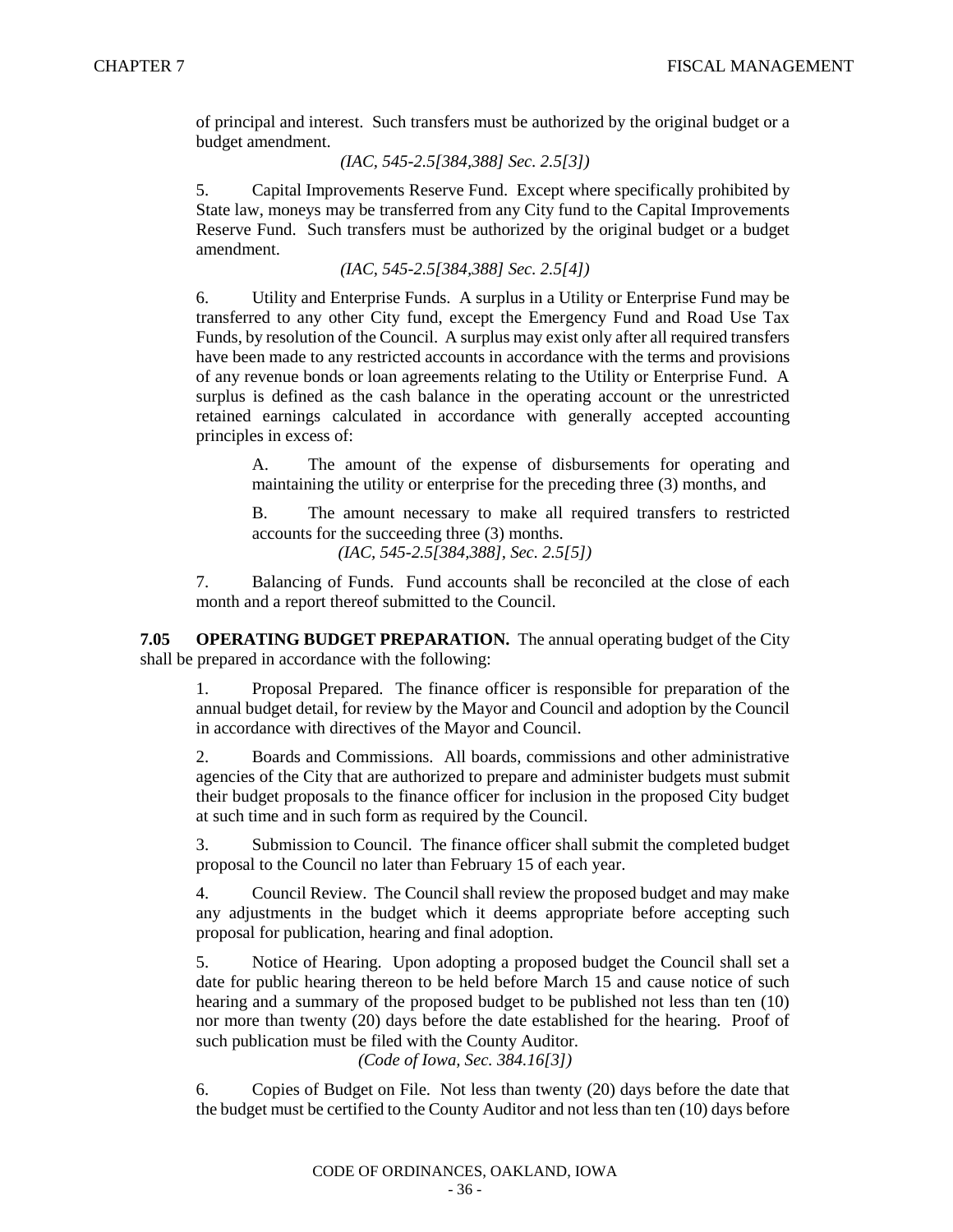of principal and interest. Such transfers must be authorized by the original budget or a budget amendment.

*(IAC, 545-2.5[384,388] Sec. 2.5[3])*

5. Capital Improvements Reserve Fund. Except where specifically prohibited by State law, moneys may be transferred from any City fund to the Capital Improvements Reserve Fund. Such transfers must be authorized by the original budget or a budget amendment.

*(IAC, 545-2.5[384,388] Sec. 2.5[4])*

6. Utility and Enterprise Funds. A surplus in a Utility or Enterprise Fund may be transferred to any other City fund, except the Emergency Fund and Road Use Tax Funds, by resolution of the Council. A surplus may exist only after all required transfers have been made to any restricted accounts in accordance with the terms and provisions of any revenue bonds or loan agreements relating to the Utility or Enterprise Fund. A surplus is defined as the cash balance in the operating account or the unrestricted retained earnings calculated in accordance with generally accepted accounting principles in excess of:

A. The amount of the expense of disbursements for operating and maintaining the utility or enterprise for the preceding three (3) months, and

B. The amount necessary to make all required transfers to restricted accounts for the succeeding three (3) months.

*(IAC, 545-2.5[384,388], Sec. 2.5[5])*

7. Balancing of Funds. Fund accounts shall be reconciled at the close of each month and a report thereof submitted to the Council.

**7.05 OPERATING BUDGET PREPARATION.** The annual operating budget of the City shall be prepared in accordance with the following:

1. Proposal Prepared. The finance officer is responsible for preparation of the annual budget detail, for review by the Mayor and Council and adoption by the Council in accordance with directives of the Mayor and Council.

2. Boards and Commissions. All boards, commissions and other administrative agencies of the City that are authorized to prepare and administer budgets must submit their budget proposals to the finance officer for inclusion in the proposed City budget at such time and in such form as required by the Council.

3. Submission to Council. The finance officer shall submit the completed budget proposal to the Council no later than February 15 of each year.

4. Council Review. The Council shall review the proposed budget and may make any adjustments in the budget which it deems appropriate before accepting such proposal for publication, hearing and final adoption.

5. Notice of Hearing. Upon adopting a proposed budget the Council shall set a date for public hearing thereon to be held before March 15 and cause notice of such hearing and a summary of the proposed budget to be published not less than ten (10) nor more than twenty (20) days before the date established for the hearing. Proof of such publication must be filed with the County Auditor.

*(Code of Iowa, Sec. 384.16[3])*

6. Copies of Budget on File. Not less than twenty (20) days before the date that the budget must be certified to the County Auditor and not less than ten (10) days before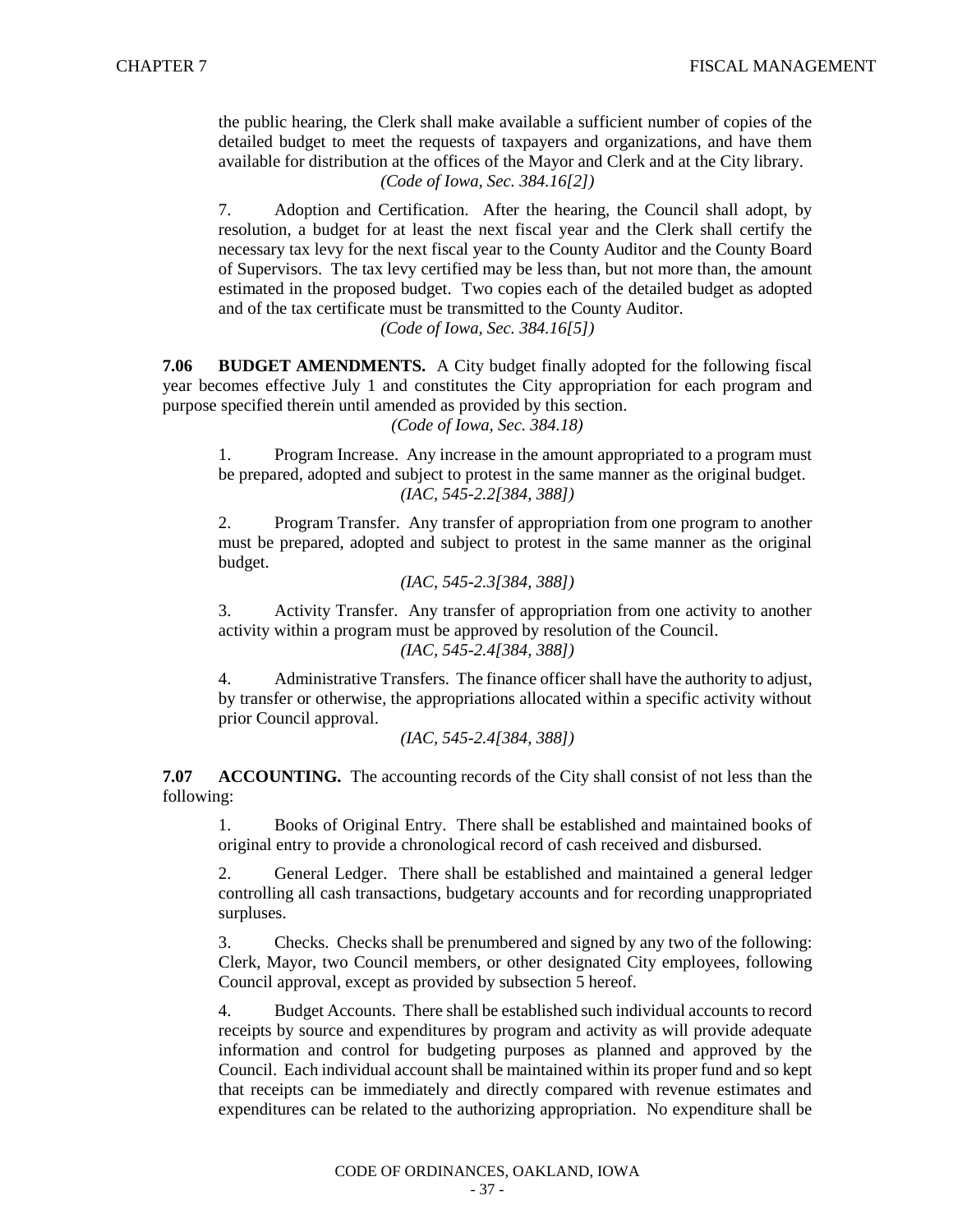the public hearing, the Clerk shall make available a sufficient number of copies of the detailed budget to meet the requests of taxpayers and organizations, and have them available for distribution at the offices of the Mayor and Clerk and at the City library. *(Code of Iowa, Sec. 384.16[2])*

7. Adoption and Certification. After the hearing, the Council shall adopt, by resolution, a budget for at least the next fiscal year and the Clerk shall certify the necessary tax levy for the next fiscal year to the County Auditor and the County Board of Supervisors. The tax levy certified may be less than, but not more than, the amount estimated in the proposed budget. Two copies each of the detailed budget as adopted and of the tax certificate must be transmitted to the County Auditor.

*(Code of Iowa, Sec. 384.16[5])*

**7.06 BUDGET AMENDMENTS.** A City budget finally adopted for the following fiscal year becomes effective July 1 and constitutes the City appropriation for each program and purpose specified therein until amended as provided by this section.

*(Code of Iowa, Sec. 384.18)*

1. Program Increase. Any increase in the amount appropriated to a program must be prepared, adopted and subject to protest in the same manner as the original budget. *(IAC, 545-2.2[384, 388])*

2. Program Transfer. Any transfer of appropriation from one program to another must be prepared, adopted and subject to protest in the same manner as the original budget.

*(IAC, 545-2.3[384, 388])*

3. Activity Transfer. Any transfer of appropriation from one activity to another activity within a program must be approved by resolution of the Council.

*(IAC, 545-2.4[384, 388])*

4. Administrative Transfers. The finance officer shall have the authority to adjust, by transfer or otherwise, the appropriations allocated within a specific activity without prior Council approval.

*(IAC, 545-2.4[384, 388])*

**7.07 ACCOUNTING.** The accounting records of the City shall consist of not less than the following:

1. Books of Original Entry. There shall be established and maintained books of original entry to provide a chronological record of cash received and disbursed.

2. General Ledger. There shall be established and maintained a general ledger controlling all cash transactions, budgetary accounts and for recording unappropriated surpluses.

3. Checks. Checks shall be prenumbered and signed by any two of the following: Clerk, Mayor, two Council members, or other designated City employees, following Council approval, except as provided by subsection 5 hereof.

4. Budget Accounts. There shall be established such individual accounts to record receipts by source and expenditures by program and activity as will provide adequate information and control for budgeting purposes as planned and approved by the Council. Each individual account shall be maintained within its proper fund and so kept that receipts can be immediately and directly compared with revenue estimates and expenditures can be related to the authorizing appropriation. No expenditure shall be